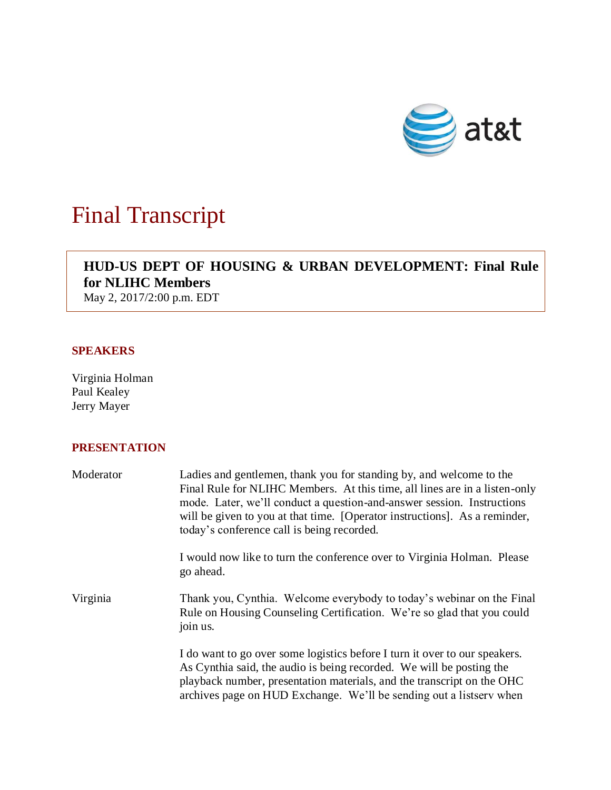

## Final Transcript

## **HUD-US DEPT OF HOUSING & URBAN DEVELOPMENT: Final Rule for NLIHC Members**

May 2, 2017/2:00 p.m. EDT

## **SPEAKERS**

Virginia Holman Paul Kealey Jerry Mayer

## **PRESENTATION**

| Moderator | Ladies and gentlemen, thank you for standing by, and welcome to the<br>Final Rule for NLIHC Members. At this time, all lines are in a listen-only<br>mode. Later, we'll conduct a question-and-answer session. Instructions<br>will be given to you at that time. [Operator instructions]. As a reminder,<br>today's conference call is being recorded. |
|-----------|---------------------------------------------------------------------------------------------------------------------------------------------------------------------------------------------------------------------------------------------------------------------------------------------------------------------------------------------------------|
|           | I would now like to turn the conference over to Virginia Holman. Please<br>go ahead.                                                                                                                                                                                                                                                                    |
| Virginia  | Thank you, Cynthia. Welcome everybody to today's webinar on the Final<br>Rule on Housing Counseling Certification. We're so glad that you could<br>join us.                                                                                                                                                                                             |
|           | I do want to go over some logistics before I turn it over to our speakers.<br>As Cynthia said, the audio is being recorded. We will be posting the<br>playback number, presentation materials, and the transcript on the OHC<br>archives page on HUD Exchange. We'll be sending out a listserv when                                                     |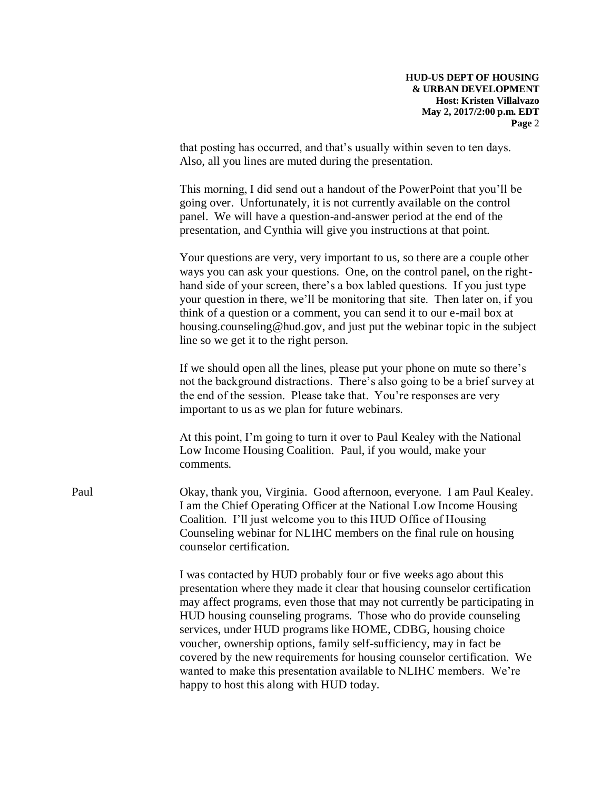that posting has occurred, and that's usually within seven to ten days. Also, all you lines are muted during the presentation.

This morning, I did send out a handout of the PowerPoint that you'll be going over. Unfortunately, it is not currently available on the control panel. We will have a question-and-answer period at the end of the presentation, and Cynthia will give you instructions at that point.

Your questions are very, very important to us, so there are a couple other ways you can ask your questions. One, on the control panel, on the righthand side of your screen, there's a box labled questions. If you just type your question in there, we'll be monitoring that site. Then later on, if you think of a question or a comment, you can send it to our e-mail box at housing.counseling@hud.gov, and just put the webinar topic in the subject line so we get it to the right person.

If we should open all the lines, please put your phone on mute so there's not the background distractions. There's also going to be a brief survey at the end of the session. Please take that. You're responses are very important to us as we plan for future webinars.

At this point, I'm going to turn it over to Paul Kealey with the National Low Income Housing Coalition. Paul, if you would, make your comments.

Paul Okay, thank you, Virginia. Good afternoon, everyone. I am Paul Kealey. I am the Chief Operating Officer at the National Low Income Housing Coalition. I'll just welcome you to this HUD Office of Housing Counseling webinar for NLIHC members on the final rule on housing counselor certification.

> I was contacted by HUD probably four or five weeks ago about this presentation where they made it clear that housing counselor certification may affect programs, even those that may not currently be participating in HUD housing counseling programs. Those who do provide counseling services, under HUD programs like HOME, CDBG, housing choice voucher, ownership options, family self-sufficiency, may in fact be covered by the new requirements for housing counselor certification. We wanted to make this presentation available to NLIHC members. We're happy to host this along with HUD today.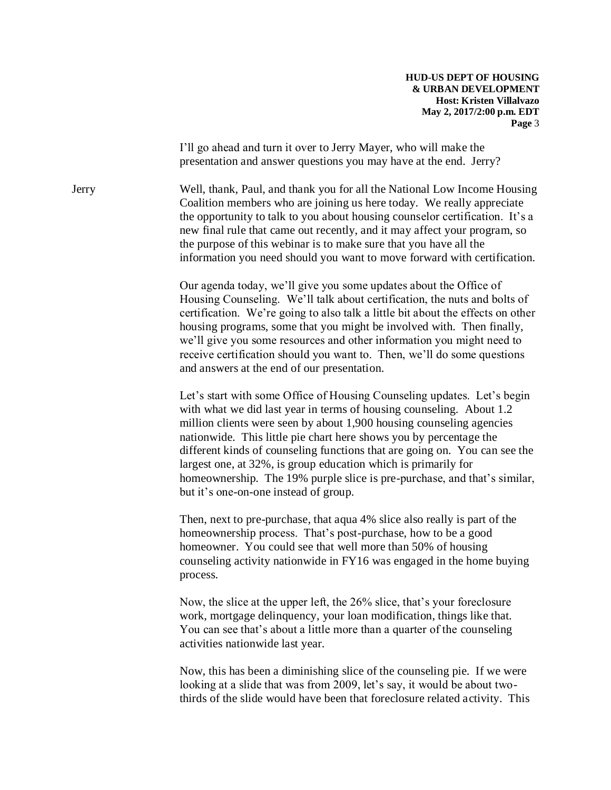I'll go ahead and turn it over to Jerry Mayer, who will make the presentation and answer questions you may have at the end. Jerry?

Jerry Well, thank, Paul, and thank you for all the National Low Income Housing Coalition members who are joining us here today. We really appreciate the opportunity to talk to you about housing counselor certification. It's a new final rule that came out recently, and it may affect your program, so the purpose of this webinar is to make sure that you have all the information you need should you want to move forward with certification.

> Our agenda today, we'll give you some updates about the Office of Housing Counseling. We'll talk about certification, the nuts and bolts of certification. We're going to also talk a little bit about the effects on other housing programs, some that you might be involved with. Then finally, we'll give you some resources and other information you might need to receive certification should you want to. Then, we'll do some questions and answers at the end of our presentation.

> Let's start with some Office of Housing Counseling updates. Let's begin with what we did last year in terms of housing counseling. About 1.2 million clients were seen by about 1,900 housing counseling agencies nationwide. This little pie chart here shows you by percentage the different kinds of counseling functions that are going on. You can see the largest one, at 32%, is group education which is primarily for homeownership. The 19% purple slice is pre-purchase, and that's similar, but it's one-on-one instead of group.

Then, next to pre-purchase, that aqua 4% slice also really is part of the homeownership process. That's post-purchase, how to be a good homeowner. You could see that well more than 50% of housing counseling activity nationwide in FY16 was engaged in the home buying process.

Now, the slice at the upper left, the 26% slice, that's your foreclosure work, mortgage delinquency, your loan modification, things like that. You can see that's about a little more than a quarter of the counseling activities nationwide last year.

Now, this has been a diminishing slice of the counseling pie. If we were looking at a slide that was from 2009, let's say, it would be about twothirds of the slide would have been that foreclosure related activity. This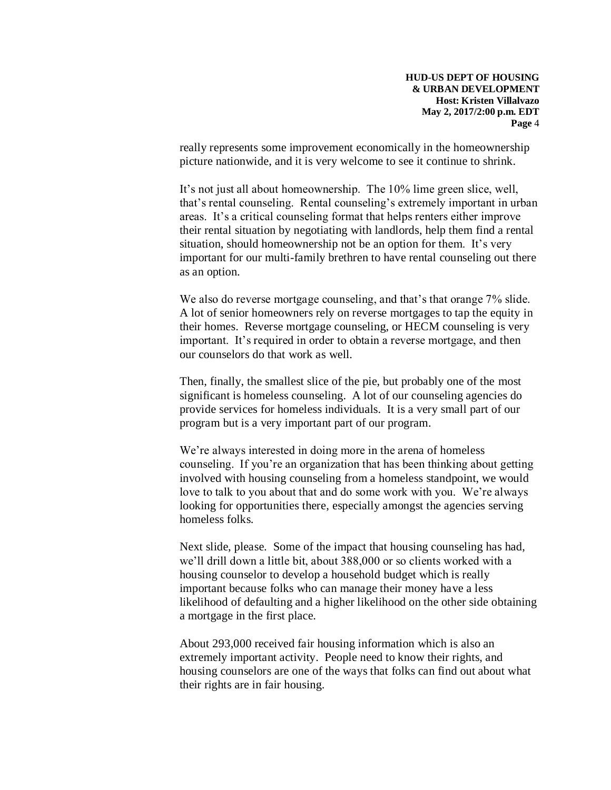really represents some improvement economically in the homeownership picture nationwide, and it is very welcome to see it continue to shrink.

It's not just all about homeownership. The 10% lime green slice, well, that's rental counseling. Rental counseling's extremely important in urban areas. It's a critical counseling format that helps renters either improve their rental situation by negotiating with landlords, help them find a rental situation, should homeownership not be an option for them. It's very important for our multi-family brethren to have rental counseling out there as an option.

We also do reverse mortgage counseling, and that's that orange 7% slide. A lot of senior homeowners rely on reverse mortgages to tap the equity in their homes. Reverse mortgage counseling, or HECM counseling is very important. It's required in order to obtain a reverse mortgage, and then our counselors do that work as well.

Then, finally, the smallest slice of the pie, but probably one of the most significant is homeless counseling. A lot of our counseling agencies do provide services for homeless individuals. It is a very small part of our program but is a very important part of our program.

We're always interested in doing more in the arena of homeless counseling. If you're an organization that has been thinking about getting involved with housing counseling from a homeless standpoint, we would love to talk to you about that and do some work with you. We're always looking for opportunities there, especially amongst the agencies serving homeless folks.

Next slide, please. Some of the impact that housing counseling has had, we'll drill down a little bit, about 388,000 or so clients worked with a housing counselor to develop a household budget which is really important because folks who can manage their money have a less likelihood of defaulting and a higher likelihood on the other side obtaining a mortgage in the first place.

About 293,000 received fair housing information which is also an extremely important activity. People need to know their rights, and housing counselors are one of the ways that folks can find out about what their rights are in fair housing.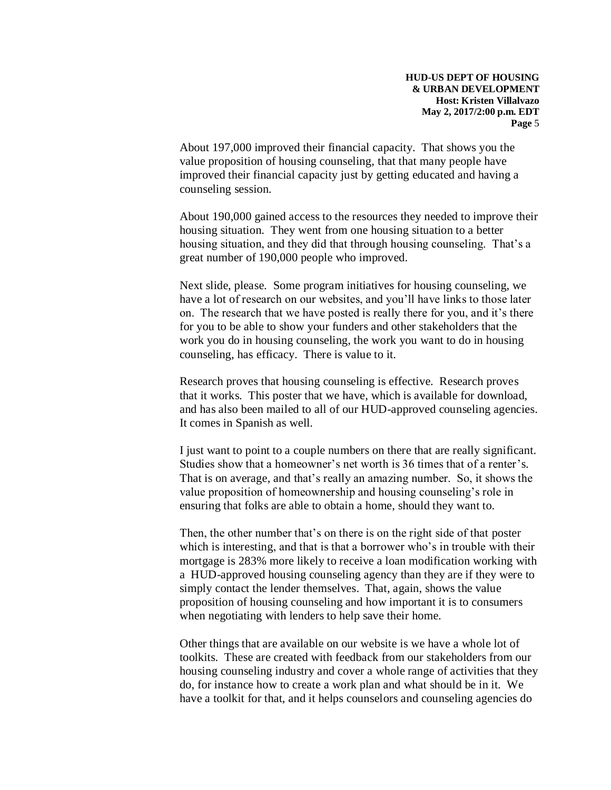About 197,000 improved their financial capacity. That shows you the value proposition of housing counseling, that that many people have improved their financial capacity just by getting educated and having a counseling session.

About 190,000 gained access to the resources they needed to improve their housing situation. They went from one housing situation to a better housing situation, and they did that through housing counseling. That's a great number of 190,000 people who improved.

Next slide, please. Some program initiatives for housing counseling, we have a lot of research on our websites, and you'll have links to those later on. The research that we have posted is really there for you, and it's there for you to be able to show your funders and other stakeholders that the work you do in housing counseling, the work you want to do in housing counseling, has efficacy. There is value to it.

Research proves that housing counseling is effective. Research proves that it works. This poster that we have, which is available for download, and has also been mailed to all of our HUD-approved counseling agencies. It comes in Spanish as well.

I just want to point to a couple numbers on there that are really significant. Studies show that a homeowner's net worth is 36 times that of a renter's. That is on average, and that's really an amazing number. So, it shows the value proposition of homeownership and housing counseling's role in ensuring that folks are able to obtain a home, should they want to.

Then, the other number that's on there is on the right side of that poster which is interesting, and that is that a borrower who's in trouble with their mortgage is 283% more likely to receive a loan modification working with a HUD-approved housing counseling agency than they are if they were to simply contact the lender themselves. That, again, shows the value proposition of housing counseling and how important it is to consumers when negotiating with lenders to help save their home.

Other things that are available on our website is we have a whole lot of toolkits. These are created with feedback from our stakeholders from our housing counseling industry and cover a whole range of activities that they do, for instance how to create a work plan and what should be in it. We have a toolkit for that, and it helps counselors and counseling agencies do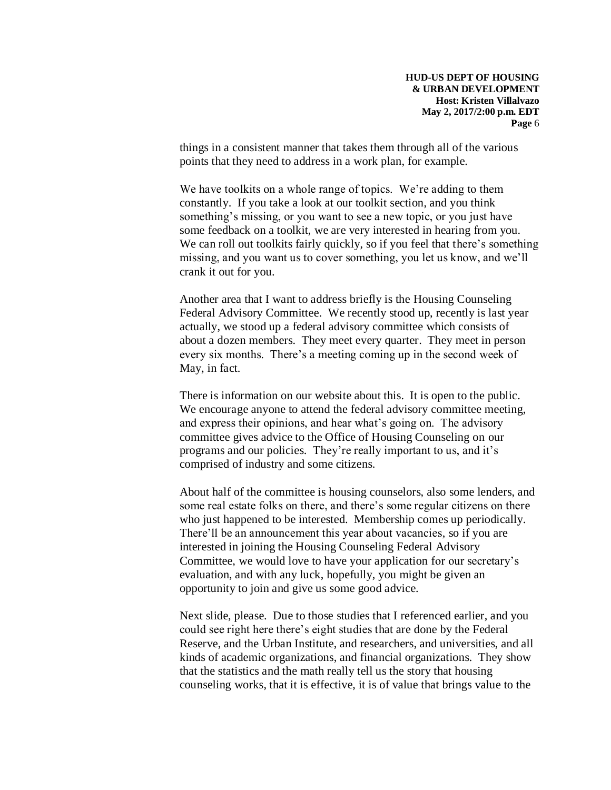things in a consistent manner that takes them through all of the various points that they need to address in a work plan, for example.

We have toolkits on a whole range of topics. We're adding to them constantly. If you take a look at our toolkit section, and you think something's missing, or you want to see a new topic, or you just have some feedback on a toolkit, we are very interested in hearing from you. We can roll out toolkits fairly quickly, so if you feel that there's something missing, and you want us to cover something, you let us know, and we'll crank it out for you.

Another area that I want to address briefly is the Housing Counseling Federal Advisory Committee. We recently stood up, recently is last year actually, we stood up a federal advisory committee which consists of about a dozen members. They meet every quarter. They meet in person every six months. There's a meeting coming up in the second week of May, in fact.

There is information on our website about this. It is open to the public. We encourage anyone to attend the federal advisory committee meeting, and express their opinions, and hear what's going on. The advisory committee gives advice to the Office of Housing Counseling on our programs and our policies. They're really important to us, and it's comprised of industry and some citizens.

About half of the committee is housing counselors, also some lenders, and some real estate folks on there, and there's some regular citizens on there who just happened to be interested. Membership comes up periodically. There'll be an announcement this year about vacancies, so if you are interested in joining the Housing Counseling Federal Advisory Committee, we would love to have your application for our secretary's evaluation, and with any luck, hopefully, you might be given an opportunity to join and give us some good advice.

Next slide, please. Due to those studies that I referenced earlier, and you could see right here there's eight studies that are done by the Federal Reserve, and the Urban Institute, and researchers, and universities, and all kinds of academic organizations, and financial organizations. They show that the statistics and the math really tell us the story that housing counseling works, that it is effective, it is of value that brings value to the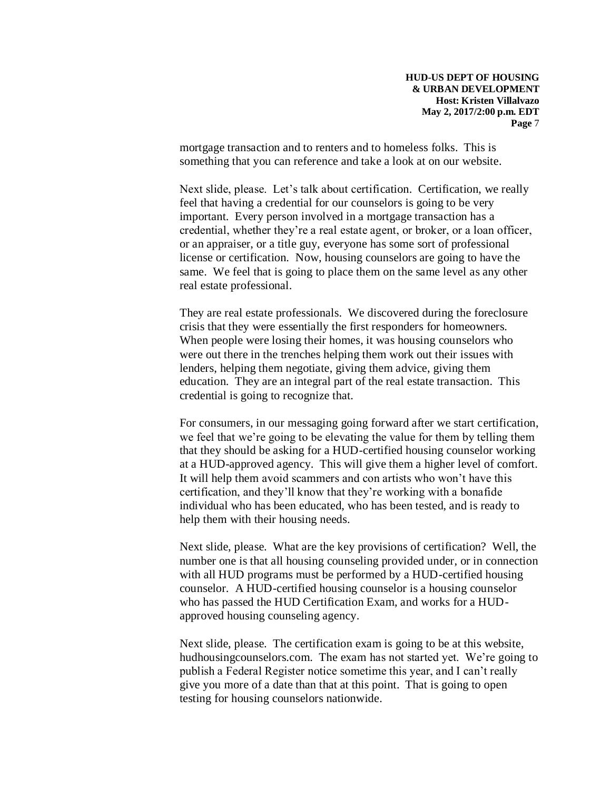mortgage transaction and to renters and to homeless folks. This is something that you can reference and take a look at on our website.

Next slide, please. Let's talk about certification. Certification, we really feel that having a credential for our counselors is going to be very important. Every person involved in a mortgage transaction has a credential, whether they're a real estate agent, or broker, or a loan officer, or an appraiser, or a title guy, everyone has some sort of professional license or certification. Now, housing counselors are going to have the same. We feel that is going to place them on the same level as any other real estate professional.

They are real estate professionals. We discovered during the foreclosure crisis that they were essentially the first responders for homeowners. When people were losing their homes, it was housing counselors who were out there in the trenches helping them work out their issues with lenders, helping them negotiate, giving them advice, giving them education. They are an integral part of the real estate transaction. This credential is going to recognize that.

For consumers, in our messaging going forward after we start certification, we feel that we're going to be elevating the value for them by telling them that they should be asking for a HUD-certified housing counselor working at a HUD-approved agency. This will give them a higher level of comfort. It will help them avoid scammers and con artists who won't have this certification, and they'll know that they're working with a bonafide individual who has been educated, who has been tested, and is ready to help them with their housing needs.

Next slide, please. What are the key provisions of certification? Well, the number one is that all housing counseling provided under, or in connection with all HUD programs must be performed by a HUD-certified housing counselor. A HUD-certified housing counselor is a housing counselor who has passed the HUD Certification Exam, and works for a HUDapproved housing counseling agency.

Next slide, please. The certification exam is going to be at this website, hudhousingcounselors.com. The exam has not started yet. We're going to publish a Federal Register notice sometime this year, and I can't really give you more of a date than that at this point. That is going to open testing for housing counselors nationwide.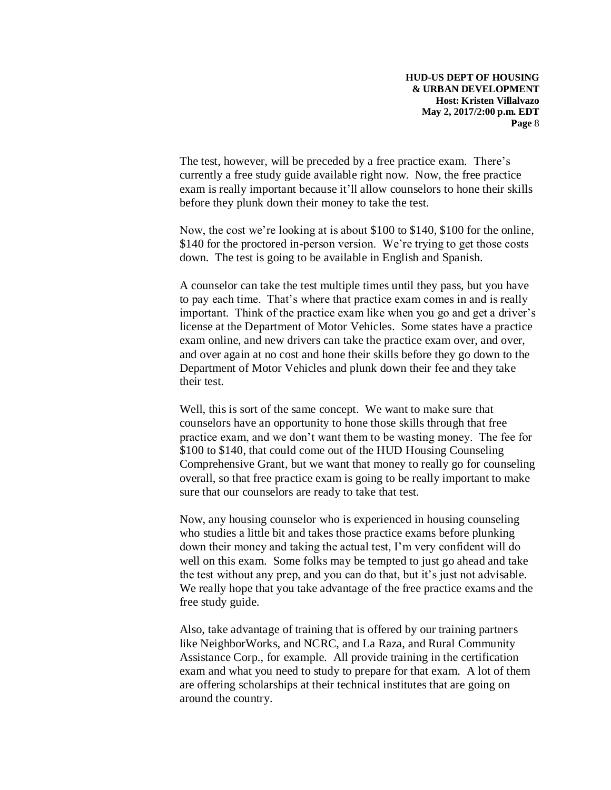The test, however, will be preceded by a free practice exam. There's currently a free study guide available right now. Now, the free practice exam is really important because it'll allow counselors to hone their skills before they plunk down their money to take the test.

Now, the cost we're looking at is about \$100 to \$140, \$100 for the online, \$140 for the proctored in-person version. We're trying to get those costs down. The test is going to be available in English and Spanish.

A counselor can take the test multiple times until they pass, but you have to pay each time. That's where that practice exam comes in and is really important. Think of the practice exam like when you go and get a driver's license at the Department of Motor Vehicles. Some states have a practice exam online, and new drivers can take the practice exam over, and over, and over again at no cost and hone their skills before they go down to the Department of Motor Vehicles and plunk down their fee and they take their test.

Well, this is sort of the same concept. We want to make sure that counselors have an opportunity to hone those skills through that free practice exam, and we don't want them to be wasting money. The fee for \$100 to \$140, that could come out of the HUD Housing Counseling Comprehensive Grant, but we want that money to really go for counseling overall, so that free practice exam is going to be really important to make sure that our counselors are ready to take that test.

Now, any housing counselor who is experienced in housing counseling who studies a little bit and takes those practice exams before plunking down their money and taking the actual test, I'm very confident will do well on this exam. Some folks may be tempted to just go ahead and take the test without any prep, and you can do that, but it's just not advisable. We really hope that you take advantage of the free practice exams and the free study guide.

Also, take advantage of training that is offered by our training partners like NeighborWorks, and NCRC, and La Raza, and Rural Community Assistance Corp., for example. All provide training in the certification exam and what you need to study to prepare for that exam. A lot of them are offering scholarships at their technical institutes that are going on around the country.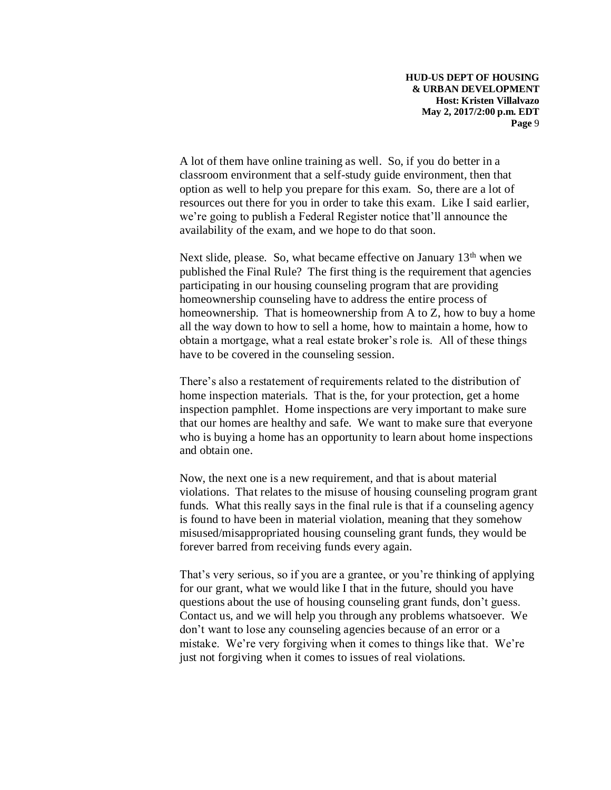A lot of them have online training as well. So, if you do better in a classroom environment that a self-study guide environment, then that option as well to help you prepare for this exam. So, there are a lot of resources out there for you in order to take this exam. Like I said earlier, we're going to publish a Federal Register notice that'll announce the availability of the exam, and we hope to do that soon.

Next slide, please. So, what became effective on January  $13<sup>th</sup>$  when we published the Final Rule? The first thing is the requirement that agencies participating in our housing counseling program that are providing homeownership counseling have to address the entire process of homeownership. That is homeownership from A to Z, how to buy a home all the way down to how to sell a home, how to maintain a home, how to obtain a mortgage, what a real estate broker's role is. All of these things have to be covered in the counseling session.

There's also a restatement of requirements related to the distribution of home inspection materials. That is the, for your protection, get a home inspection pamphlet. Home inspections are very important to make sure that our homes are healthy and safe. We want to make sure that everyone who is buying a home has an opportunity to learn about home inspections and obtain one.

Now, the next one is a new requirement, and that is about material violations. That relates to the misuse of housing counseling program grant funds. What this really says in the final rule is that if a counseling agency is found to have been in material violation, meaning that they somehow misused/misappropriated housing counseling grant funds, they would be forever barred from receiving funds every again.

That's very serious, so if you are a grantee, or you're thinking of applying for our grant, what we would like I that in the future, should you have questions about the use of housing counseling grant funds, don't guess. Contact us, and we will help you through any problems whatsoever. We don't want to lose any counseling agencies because of an error or a mistake. We're very forgiving when it comes to things like that. We're just not forgiving when it comes to issues of real violations.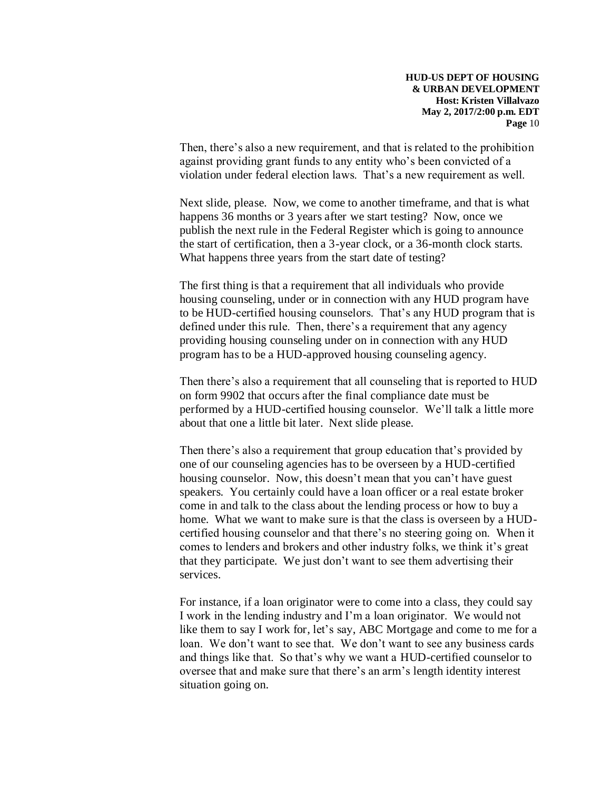Then, there's also a new requirement, and that is related to the prohibition against providing grant funds to any entity who's been convicted of a violation under federal election laws. That's a new requirement as well.

Next slide, please. Now, we come to another timeframe, and that is what happens 36 months or 3 years after we start testing? Now, once we publish the next rule in the Federal Register which is going to announce the start of certification, then a 3-year clock, or a 36-month clock starts. What happens three years from the start date of testing?

The first thing is that a requirement that all individuals who provide housing counseling, under or in connection with any HUD program have to be HUD-certified housing counselors. That's any HUD program that is defined under this rule. Then, there's a requirement that any agency providing housing counseling under on in connection with any HUD program has to be a HUD-approved housing counseling agency.

Then there's also a requirement that all counseling that is reported to HUD on form 9902 that occurs after the final compliance date must be performed by a HUD-certified housing counselor. We'll talk a little more about that one a little bit later. Next slide please.

Then there's also a requirement that group education that's provided by one of our counseling agencies has to be overseen by a HUD-certified housing counselor. Now, this doesn't mean that you can't have guest speakers. You certainly could have a loan officer or a real estate broker come in and talk to the class about the lending process or how to buy a home. What we want to make sure is that the class is overseen by a HUDcertified housing counselor and that there's no steering going on. When it comes to lenders and brokers and other industry folks, we think it's great that they participate. We just don't want to see them advertising their services.

For instance, if a loan originator were to come into a class, they could say I work in the lending industry and I'm a loan originator. We would not like them to say I work for, let's say, ABC Mortgage and come to me for a loan. We don't want to see that. We don't want to see any business cards and things like that. So that's why we want a HUD-certified counselor to oversee that and make sure that there's an arm's length identity interest situation going on.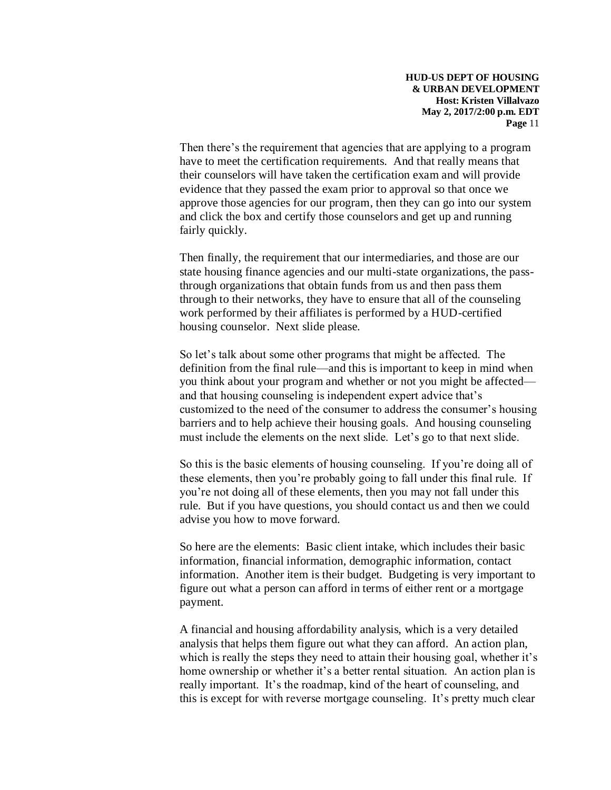Then there's the requirement that agencies that are applying to a program have to meet the certification requirements. And that really means that their counselors will have taken the certification exam and will provide evidence that they passed the exam prior to approval so that once we approve those agencies for our program, then they can go into our system and click the box and certify those counselors and get up and running fairly quickly.

Then finally, the requirement that our intermediaries, and those are our state housing finance agencies and our multi-state organizations, the passthrough organizations that obtain funds from us and then pass them through to their networks, they have to ensure that all of the counseling work performed by their affiliates is performed by a HUD-certified housing counselor. Next slide please.

So let's talk about some other programs that might be affected. The definition from the final rule—and this is important to keep in mind when you think about your program and whether or not you might be affected and that housing counseling is independent expert advice that's customized to the need of the consumer to address the consumer's housing barriers and to help achieve their housing goals. And housing counseling must include the elements on the next slide. Let's go to that next slide.

So this is the basic elements of housing counseling. If you're doing all of these elements, then you're probably going to fall under this final rule. If you're not doing all of these elements, then you may not fall under this rule. But if you have questions, you should contact us and then we could advise you how to move forward.

So here are the elements: Basic client intake, which includes their basic information, financial information, demographic information, contact information. Another item is their budget. Budgeting is very important to figure out what a person can afford in terms of either rent or a mortgage payment.

A financial and housing affordability analysis, which is a very detailed analysis that helps them figure out what they can afford. An action plan, which is really the steps they need to attain their housing goal, whether it's home ownership or whether it's a better rental situation. An action plan is really important. It's the roadmap, kind of the heart of counseling, and this is except for with reverse mortgage counseling. It's pretty much clear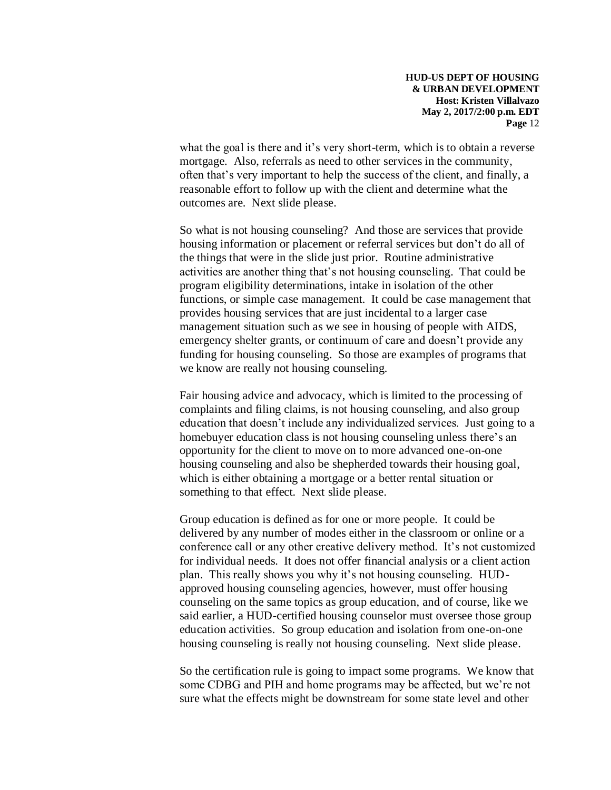what the goal is there and it's very short-term, which is to obtain a reverse mortgage. Also, referrals as need to other services in the community, often that's very important to help the success of the client, and finally, a reasonable effort to follow up with the client and determine what the outcomes are. Next slide please.

So what is not housing counseling? And those are services that provide housing information or placement or referral services but don't do all of the things that were in the slide just prior. Routine administrative activities are another thing that's not housing counseling. That could be program eligibility determinations, intake in isolation of the other functions, or simple case management. It could be case management that provides housing services that are just incidental to a larger case management situation such as we see in housing of people with AIDS, emergency shelter grants, or continuum of care and doesn't provide any funding for housing counseling. So those are examples of programs that we know are really not housing counseling.

Fair housing advice and advocacy, which is limited to the processing of complaints and filing claims, is not housing counseling, and also group education that doesn't include any individualized services. Just going to a homebuyer education class is not housing counseling unless there's an opportunity for the client to move on to more advanced one-on-one housing counseling and also be shepherded towards their housing goal, which is either obtaining a mortgage or a better rental situation or something to that effect. Next slide please.

Group education is defined as for one or more people. It could be delivered by any number of modes either in the classroom or online or a conference call or any other creative delivery method. It's not customized for individual needs. It does not offer financial analysis or a client action plan. This really shows you why it's not housing counseling. HUDapproved housing counseling agencies, however, must offer housing counseling on the same topics as group education, and of course, like we said earlier, a HUD-certified housing counselor must oversee those group education activities. So group education and isolation from one-on-one housing counseling is really not housing counseling. Next slide please.

So the certification rule is going to impact some programs. We know that some CDBG and PIH and home programs may be affected, but we're not sure what the effects might be downstream for some state level and other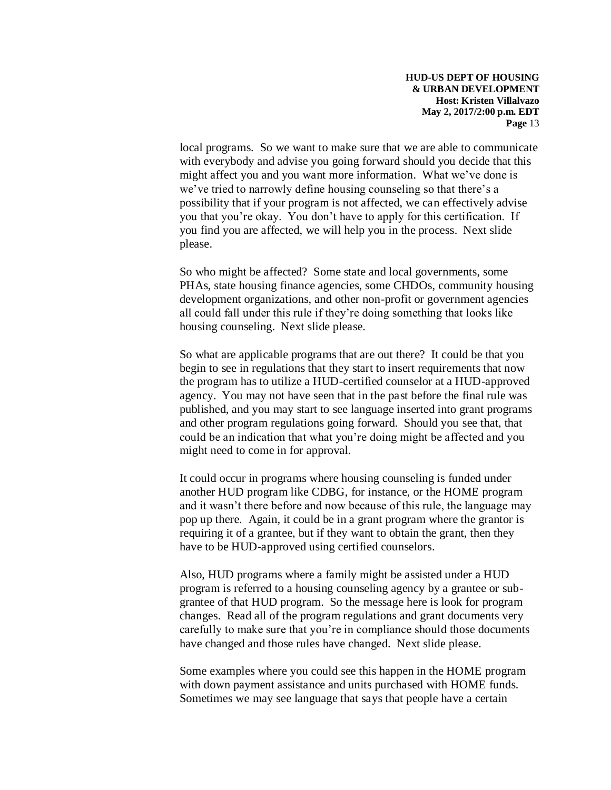local programs. So we want to make sure that we are able to communicate with everybody and advise you going forward should you decide that this might affect you and you want more information. What we've done is we've tried to narrowly define housing counseling so that there's a possibility that if your program is not affected, we can effectively advise you that you're okay. You don't have to apply for this certification. If you find you are affected, we will help you in the process. Next slide please.

So who might be affected? Some state and local governments, some PHAs, state housing finance agencies, some CHDOs, community housing development organizations, and other non-profit or government agencies all could fall under this rule if they're doing something that looks like housing counseling. Next slide please.

So what are applicable programs that are out there? It could be that you begin to see in regulations that they start to insert requirements that now the program has to utilize a HUD-certified counselor at a HUD-approved agency. You may not have seen that in the past before the final rule was published, and you may start to see language inserted into grant programs and other program regulations going forward. Should you see that, that could be an indication that what you're doing might be affected and you might need to come in for approval.

It could occur in programs where housing counseling is funded under another HUD program like CDBG, for instance, or the HOME program and it wasn't there before and now because of this rule, the language may pop up there. Again, it could be in a grant program where the grantor is requiring it of a grantee, but if they want to obtain the grant, then they have to be HUD-approved using certified counselors.

Also, HUD programs where a family might be assisted under a HUD program is referred to a housing counseling agency by a grantee or subgrantee of that HUD program. So the message here is look for program changes. Read all of the program regulations and grant documents very carefully to make sure that you're in compliance should those documents have changed and those rules have changed. Next slide please.

Some examples where you could see this happen in the HOME program with down payment assistance and units purchased with HOME funds. Sometimes we may see language that says that people have a certain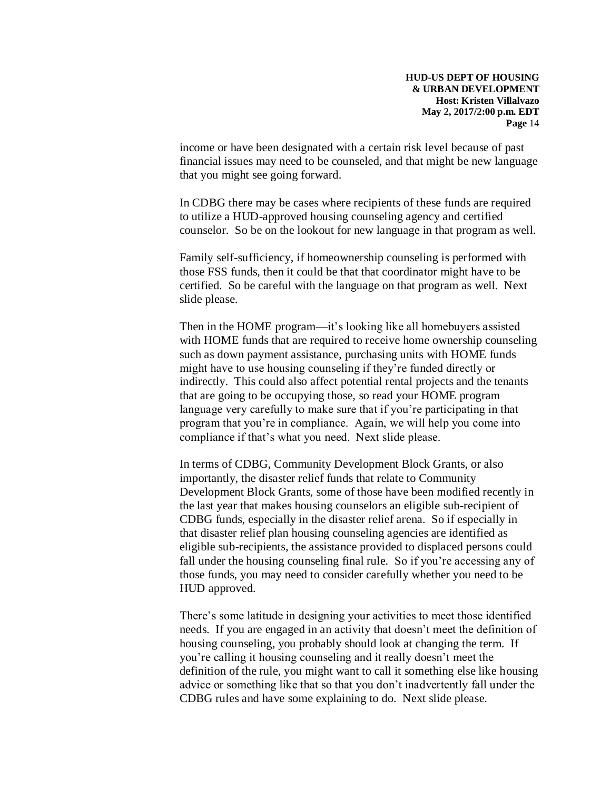income or have been designated with a certain risk level because of past financial issues may need to be counseled, and that might be new language that you might see going forward.

In CDBG there may be cases where recipients of these funds are required to utilize a HUD-approved housing counseling agency and certified counselor. So be on the lookout for new language in that program as well.

Family self-sufficiency, if homeownership counseling is performed with those FSS funds, then it could be that that coordinator might have to be certified. So be careful with the language on that program as well. Next slide please.

Then in the HOME program—it's looking like all homebuyers assisted with HOME funds that are required to receive home ownership counseling such as down payment assistance, purchasing units with HOME funds might have to use housing counseling if they're funded directly or indirectly. This could also affect potential rental projects and the tenants that are going to be occupying those, so read your HOME program language very carefully to make sure that if you're participating in that program that you're in compliance. Again, we will help you come into compliance if that's what you need. Next slide please.

In terms of CDBG, Community Development Block Grants, or also importantly, the disaster relief funds that relate to Community Development Block Grants, some of those have been modified recently in the last year that makes housing counselors an eligible sub-recipient of CDBG funds, especially in the disaster relief arena. So if especially in that disaster relief plan housing counseling agencies are identified as eligible sub-recipients, the assistance provided to displaced persons could fall under the housing counseling final rule. So if you're accessing any of those funds, you may need to consider carefully whether you need to be HUD approved.

There's some latitude in designing your activities to meet those identified needs. If you are engaged in an activity that doesn't meet the definition of housing counseling, you probably should look at changing the term. If you're calling it housing counseling and it really doesn't meet the definition of the rule, you might want to call it something else like housing advice or something like that so that you don't inadvertently fall under the CDBG rules and have some explaining to do. Next slide please.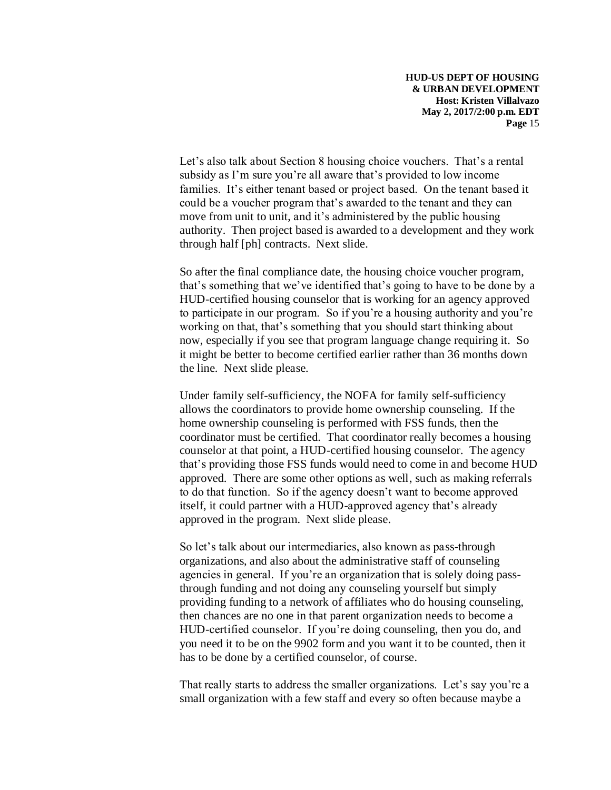Let's also talk about Section 8 housing choice vouchers. That's a rental subsidy as I'm sure you're all aware that's provided to low income families. It's either tenant based or project based. On the tenant based it could be a voucher program that's awarded to the tenant and they can move from unit to unit, and it's administered by the public housing authority. Then project based is awarded to a development and they work through half [ph] contracts. Next slide.

So after the final compliance date, the housing choice voucher program, that's something that we've identified that's going to have to be done by a HUD-certified housing counselor that is working for an agency approved to participate in our program. So if you're a housing authority and you're working on that, that's something that you should start thinking about now, especially if you see that program language change requiring it. So it might be better to become certified earlier rather than 36 months down the line. Next slide please.

Under family self-sufficiency, the NOFA for family self-sufficiency allows the coordinators to provide home ownership counseling. If the home ownership counseling is performed with FSS funds, then the coordinator must be certified. That coordinator really becomes a housing counselor at that point, a HUD-certified housing counselor. The agency that's providing those FSS funds would need to come in and become HUD approved. There are some other options as well, such as making referrals to do that function. So if the agency doesn't want to become approved itself, it could partner with a HUD-approved agency that's already approved in the program. Next slide please.

So let's talk about our intermediaries, also known as pass-through organizations, and also about the administrative staff of counseling agencies in general. If you're an organization that is solely doing passthrough funding and not doing any counseling yourself but simply providing funding to a network of affiliates who do housing counseling, then chances are no one in that parent organization needs to become a HUD-certified counselor. If you're doing counseling, then you do, and you need it to be on the 9902 form and you want it to be counted, then it has to be done by a certified counselor, of course.

That really starts to address the smaller organizations. Let's say you're a small organization with a few staff and every so often because maybe a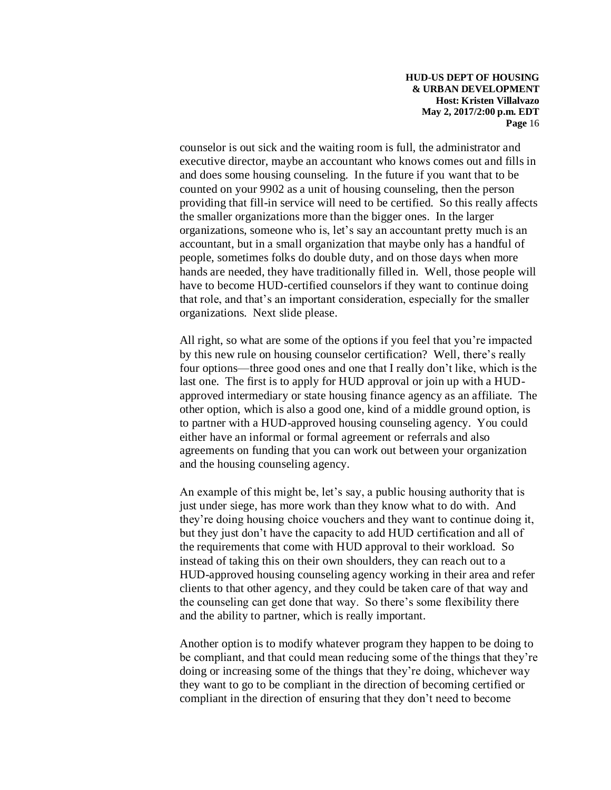counselor is out sick and the waiting room is full, the administrator and executive director, maybe an accountant who knows comes out and fills in and does some housing counseling. In the future if you want that to be counted on your 9902 as a unit of housing counseling, then the person providing that fill-in service will need to be certified. So this really affects the smaller organizations more than the bigger ones. In the larger organizations, someone who is, let's say an accountant pretty much is an accountant, but in a small organization that maybe only has a handful of people, sometimes folks do double duty, and on those days when more hands are needed, they have traditionally filled in. Well, those people will have to become HUD-certified counselors if they want to continue doing that role, and that's an important consideration, especially for the smaller organizations. Next slide please.

All right, so what are some of the options if you feel that you're impacted by this new rule on housing counselor certification? Well, there's really four options—three good ones and one that I really don't like, which is the last one. The first is to apply for HUD approval or join up with a HUDapproved intermediary or state housing finance agency as an affiliate. The other option, which is also a good one, kind of a middle ground option, is to partner with a HUD-approved housing counseling agency. You could either have an informal or formal agreement or referrals and also agreements on funding that you can work out between your organization and the housing counseling agency.

An example of this might be, let's say, a public housing authority that is just under siege, has more work than they know what to do with. And they're doing housing choice vouchers and they want to continue doing it, but they just don't have the capacity to add HUD certification and all of the requirements that come with HUD approval to their workload. So instead of taking this on their own shoulders, they can reach out to a HUD-approved housing counseling agency working in their area and refer clients to that other agency, and they could be taken care of that way and the counseling can get done that way. So there's some flexibility there and the ability to partner, which is really important.

Another option is to modify whatever program they happen to be doing to be compliant, and that could mean reducing some of the things that they're doing or increasing some of the things that they're doing, whichever way they want to go to be compliant in the direction of becoming certified or compliant in the direction of ensuring that they don't need to become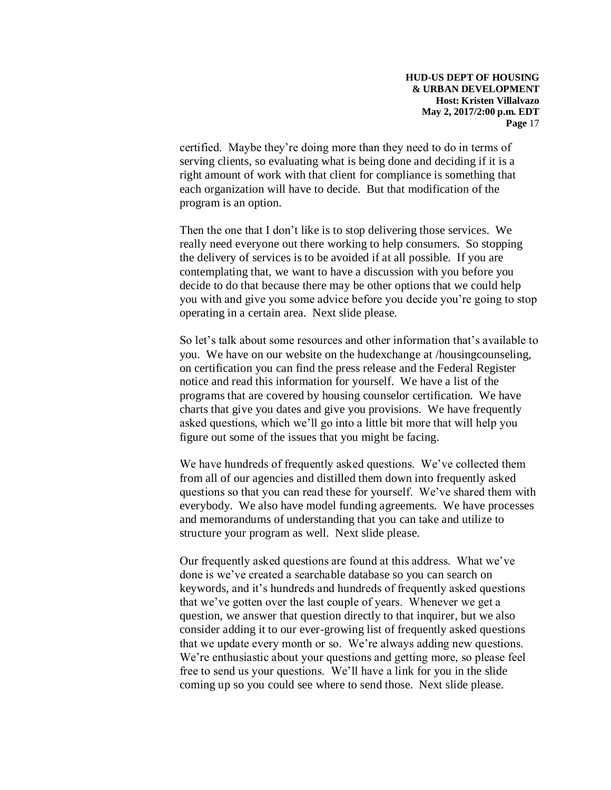certified. Maybe they're doing more than they need to do in terms of serving clients, so evaluating what is being done and deciding if it is a right amount of work with that client for compliance is something that each organization will have to decide. But that modification of the program is an option.

Then the one that I don't like is to stop delivering those services. We really need everyone out there working to help consumers. So stopping the delivery of services is to be avoided if at all possible. If you are contemplating that, we want to have a discussion with you before you decide to do that because there may be other options that we could help you with and give you some advice before you decide you're going to stop operating in a certain area. Next slide please.

So let's talk about some resources and other information that's available to you. We have on our website on the hudexchange at /housingcounseling, on certification you can find the press release and the Federal Register notice and read this information for yourself. We have a list of the programs that are covered by housing counselor certification. We have charts that give you dates and give you provisions. We have frequently asked questions, which we'll go into a little bit more that will help you figure out some of the issues that you might be facing.

We have hundreds of frequently asked questions. We've collected them from all of our agencies and distilled them down into frequently asked questions so that you can read these for yourself. We've shared them with everybody. We also have model funding agreements. We have processes and memorandums of understanding that you can take and utilize to structure your program as well. Next slide please.

Our frequently asked questions are found at this address. What we've done is we've created a searchable database so you can search on keywords, and it's hundreds and hundreds of frequently asked questions that we've gotten over the last couple of years. Whenever we get a question, we answer that question directly to that inquirer, but we also consider adding it to our ever-growing list of frequently asked questions that we update every month or so. We're always adding new questions. We're enthusiastic about your questions and getting more, so please feel free to send us your questions. We'll have a link for you in the slide coming up so you could see where to send those. Next slide please.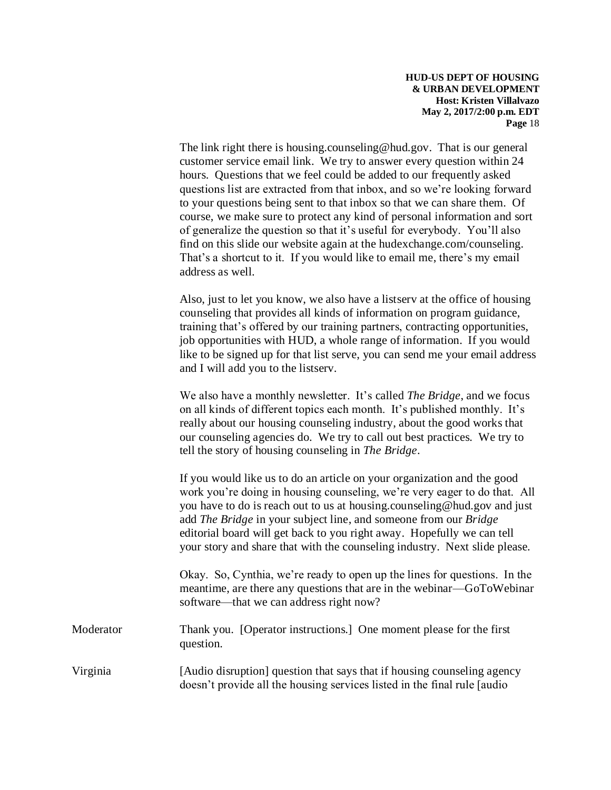The link right there is [housing.counseling@hud.gov.](mailto:housing.counseling@hud.gov) That is our general customer service email link. We try to answer every question within 24 hours. Questions that we feel could be added to our frequently asked questions list are extracted from that inbox, and so we're looking forward to your questions being sent to that inbox so that we can share them. Of course, we make sure to protect any kind of personal information and sort of generalize the question so that it's useful for everybody. You'll also find on this slide our website again at the hudexchange.com/counseling. That's a shortcut to it. If you would like to email me, there's my email address as well.

Also, just to let you know, we also have a listserv at the office of housing counseling that provides all kinds of information on program guidance, training that's offered by our training partners, contracting opportunities, job opportunities with HUD, a whole range of information. If you would like to be signed up for that list serve, you can send me your email address and I will add you to the listserv.

We also have a monthly newsletter. It's called *The Bridge*, and we focus on all kinds of different topics each month. It's published monthly. It's really about our housing counseling industry, about the good works that our counseling agencies do. We try to call out best practices. We try to tell the story of housing counseling in *The Bridge*.

If you would like us to do an article on your organization and the good work you're doing in housing counseling, we're very eager to do that. All you have to do is reach out to us at [housing.counseling@hud.gov](mailto:housing.counseling@hud.gov) and just add *The Bridge* in your subject line, and someone from our *Bridge*  editorial board will get back to you right away. Hopefully we can tell your story and share that with the counseling industry. Next slide please.

Okay. So, Cynthia, we're ready to open up the lines for questions. In the meantime, are there any questions that are in the webinar—GoToWebinar software—that we can address right now?

Moderator Thank you. [Operator instructions.] One moment please for the first question.

Virginia [Audio disruption] question that says that if housing counseling agency doesn't provide all the housing services listed in the final rule [audio